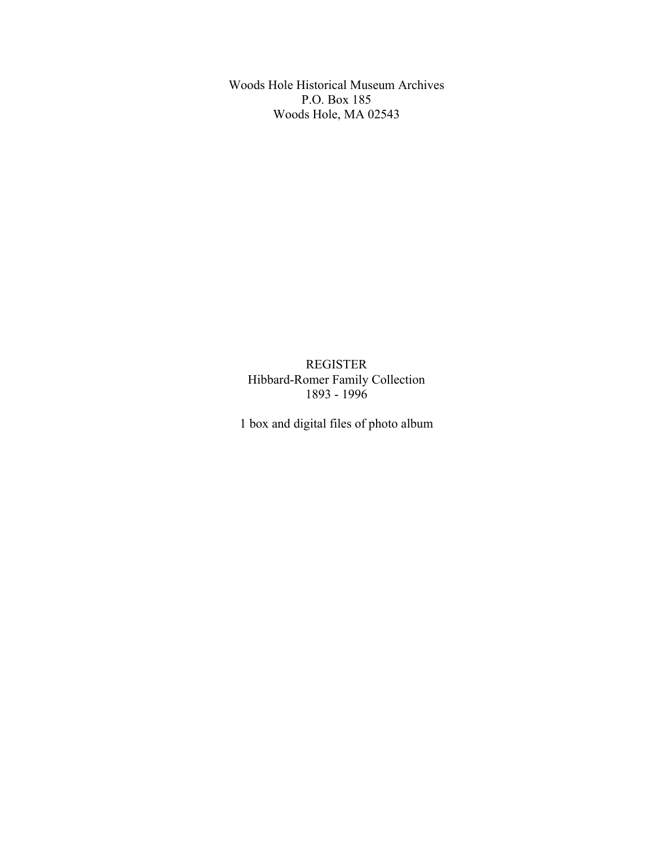Woods Hole Historical Museum Archives P.O. Box 185 Woods Hole, MA 02543

REGISTER Hibbard-Romer Family Collection 1893 - 1996

1 box and digital files of photo album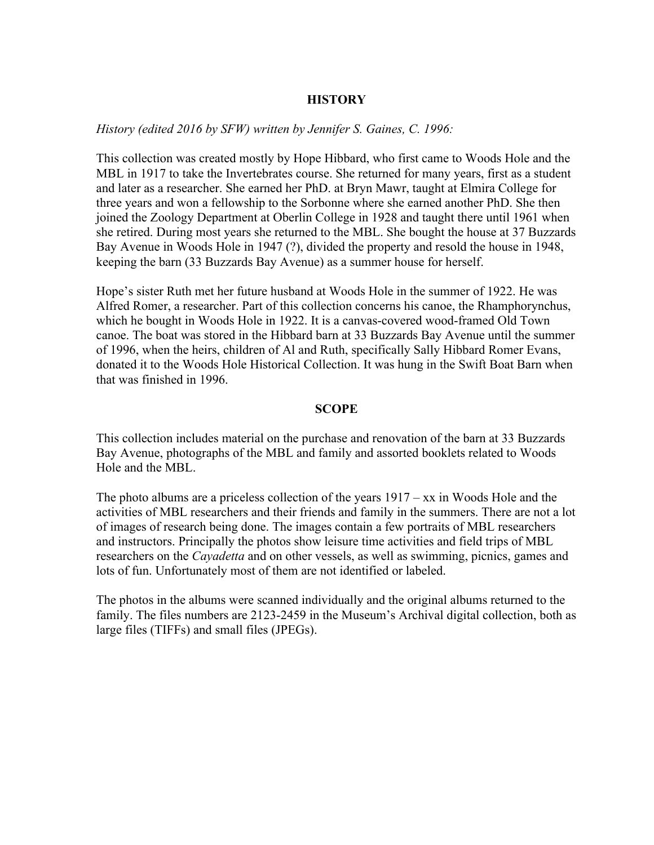## **HISTORY**

*History (edited 2016 by SFW) written by Jennifer S. Gaines, C. 1996:*

This collection was created mostly by Hope Hibbard, who first came to Woods Hole and the MBL in 1917 to take the Invertebrates course. She returned for many years, first as a student and later as a researcher. She earned her PhD. at Bryn Mawr, taught at Elmira College for three years and won a fellowship to the Sorbonne where she earned another PhD. She then joined the Zoology Department at Oberlin College in 1928 and taught there until 1961 when she retired. During most years she returned to the MBL. She bought the house at 37 Buzzards Bay Avenue in Woods Hole in 1947 (?), divided the property and resold the house in 1948, keeping the barn (33 Buzzards Bay Avenue) as a summer house for herself.

Hope's sister Ruth met her future husband at Woods Hole in the summer of 1922. He was Alfred Romer, a researcher. Part of this collection concerns his canoe, the Rhamphorynchus, which he bought in Woods Hole in 1922. It is a canvas-covered wood-framed Old Town canoe. The boat was stored in the Hibbard barn at 33 Buzzards Bay Avenue until the summer of 1996, when the heirs, children of Al and Ruth, specifically Sally Hibbard Romer Evans, donated it to the Woods Hole Historical Collection. It was hung in the Swift Boat Barn when that was finished in 1996.

#### **SCOPE**

This collection includes material on the purchase and renovation of the barn at 33 Buzzards Bay Avenue, photographs of the MBL and family and assorted booklets related to Woods Hole and the MBL.

The photo albums are a priceless collection of the years  $1917 - xx$  in Woods Hole and the activities of MBL researchers and their friends and family in the summers. There are not a lot of images of research being done. The images contain a few portraits of MBL researchers and instructors. Principally the photos show leisure time activities and field trips of MBL researchers on the *Cayadetta* and on other vessels, as well as swimming, picnics, games and lots of fun. Unfortunately most of them are not identified or labeled.

The photos in the albums were scanned individually and the original albums returned to the family. The files numbers are 2123-2459 in the Museum's Archival digital collection, both as large files (TIFFs) and small files (JPEGs).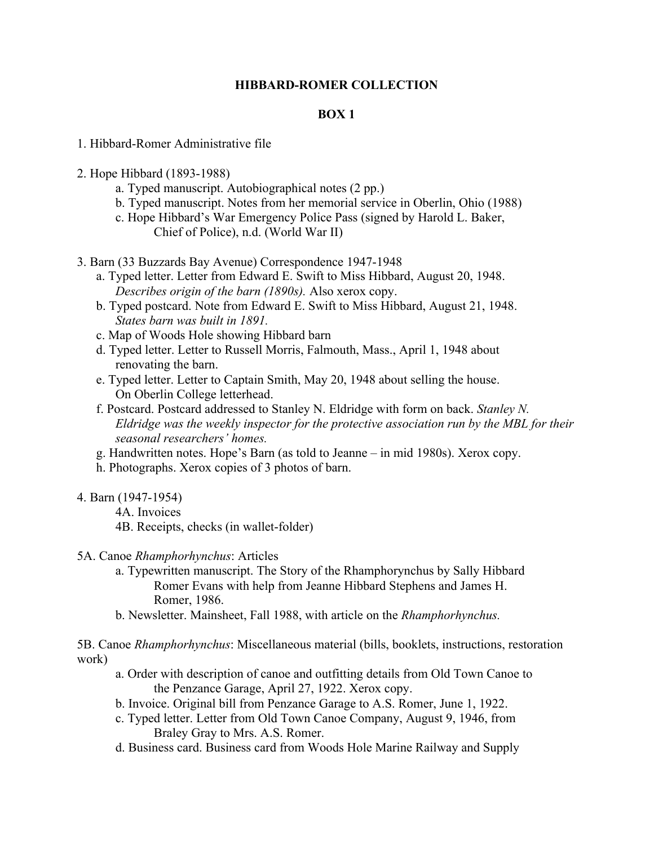# **HIBBARD-ROMER COLLECTION**

## **BOX 1**

- 1. Hibbard-Romer Administrative file
- 2. Hope Hibbard (1893-1988)
	- a. Typed manuscript. Autobiographical notes (2 pp.)
	- b. Typed manuscript. Notes from her memorial service in Oberlin, Ohio (1988)
	- c. Hope Hibbard's War Emergency Police Pass (signed by Harold L. Baker, Chief of Police), n.d. (World War II)
- 3. Barn (33 Buzzards Bay Avenue) Correspondence 1947-1948
	- a. Typed letter. Letter from Edward E. Swift to Miss Hibbard, August 20, 1948. *Describes origin of the barn (1890s).* Also xerox copy.
	- b. Typed postcard. Note from Edward E. Swift to Miss Hibbard, August 21, 1948. *States barn was built in 1891.*
	- c. Map of Woods Hole showing Hibbard barn
	- d. Typed letter. Letter to Russell Morris, Falmouth, Mass., April 1, 1948 about renovating the barn.
	- e. Typed letter. Letter to Captain Smith, May 20, 1948 about selling the house. On Oberlin College letterhead.
	- f. Postcard. Postcard addressed to Stanley N. Eldridge with form on back. *Stanley N. Eldridge was the weekly inspector for the protective association run by the MBL for their seasonal researchers' homes.*
	- g. Handwritten notes. Hope's Barn (as told to Jeanne in mid 1980s). Xerox copy.
	- h. Photographs. Xerox copies of 3 photos of barn.
- 4. Barn (1947-1954)
	- 4A. Invoices
	- 4B. Receipts, checks (in wallet-folder)
- 5A. Canoe *Rhamphorhynchus*: Articles
	- a. Typewritten manuscript. The Story of the Rhamphorynchus by Sally Hibbard Romer Evans with help from Jeanne Hibbard Stephens and James H. Romer, 1986.
	- b. Newsletter. Mainsheet, Fall 1988, with article on the *Rhamphorhynchus.*

5B. Canoe *Rhamphorhynchus*: Miscellaneous material (bills, booklets, instructions, restoration work)

- a. Order with description of canoe and outfitting details from Old Town Canoe to the Penzance Garage, April 27, 1922. Xerox copy.
- b. Invoice. Original bill from Penzance Garage to A.S. Romer, June 1, 1922.
- c. Typed letter. Letter from Old Town Canoe Company, August 9, 1946, from Braley Gray to Mrs. A.S. Romer.
- d. Business card. Business card from Woods Hole Marine Railway and Supply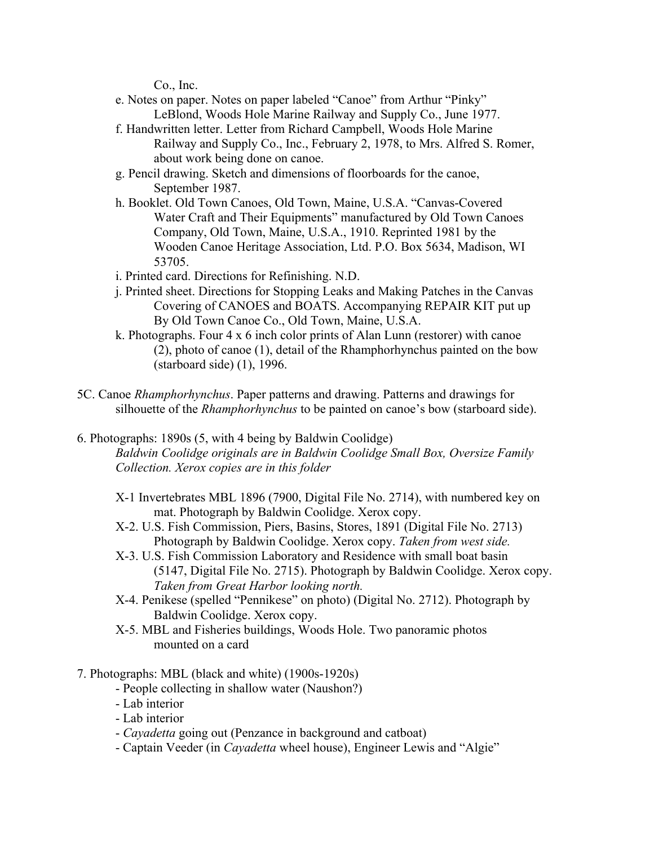Co., Inc.

- e. Notes on paper. Notes on paper labeled "Canoe" from Arthur "Pinky" LeBlond, Woods Hole Marine Railway and Supply Co., June 1977.
- f. Handwritten letter. Letter from Richard Campbell, Woods Hole Marine Railway and Supply Co., Inc., February 2, 1978, to Mrs. Alfred S. Romer, about work being done on canoe.
- g. Pencil drawing. Sketch and dimensions of floorboards for the canoe, September 1987.
- h. Booklet. Old Town Canoes, Old Town, Maine, U.S.A. "Canvas-Covered Water Craft and Their Equipments" manufactured by Old Town Canoes Company, Old Town, Maine, U.S.A., 1910. Reprinted 1981 by the Wooden Canoe Heritage Association, Ltd. P.O. Box 5634, Madison, WI 53705.
- i. Printed card. Directions for Refinishing. N.D.
- j. Printed sheet. Directions for Stopping Leaks and Making Patches in the Canvas Covering of CANOES and BOATS. Accompanying REPAIR KIT put up By Old Town Canoe Co., Old Town, Maine, U.S.A.
- k. Photographs. Four 4 x 6 inch color prints of Alan Lunn (restorer) with canoe (2), photo of canoe (1), detail of the Rhamphorhynchus painted on the bow (starboard side) (1), 1996.
- 5C. Canoe *Rhamphorhynchus*. Paper patterns and drawing. Patterns and drawings for silhouette of the *Rhamphorhynchus* to be painted on canoe's bow (starboard side).
- 6. Photographs: 1890s (5, with 4 being by Baldwin Coolidge) *Baldwin Coolidge originals are in Baldwin Coolidge Small Box, Oversize Family Collection. Xerox copies are in this folder*
	- X-1 Invertebrates MBL 1896 (7900, Digital File No. 2714), with numbered key on mat. Photograph by Baldwin Coolidge. Xerox copy.
	- X-2. U.S. Fish Commission, Piers, Basins, Stores, 1891 (Digital File No. 2713) Photograph by Baldwin Coolidge. Xerox copy. *Taken from west side.*
	- X-3. U.S. Fish Commission Laboratory and Residence with small boat basin (5147, Digital File No. 2715). Photograph by Baldwin Coolidge. Xerox copy. *Taken from Great Harbor looking north.*
	- X-4. Penikese (spelled "Pennikese" on photo) (Digital No. 2712). Photograph by Baldwin Coolidge. Xerox copy.
	- X-5. MBL and Fisheries buildings, Woods Hole. Two panoramic photos mounted on a card
- 7. Photographs: MBL (black and white) (1900s-1920s)
	- People collecting in shallow water (Naushon?)
	- Lab interior
	- Lab interior
	- *Cayadetta* going out (Penzance in background and catboat)
	- Captain Veeder (in *Cayadetta* wheel house), Engineer Lewis and "Algie"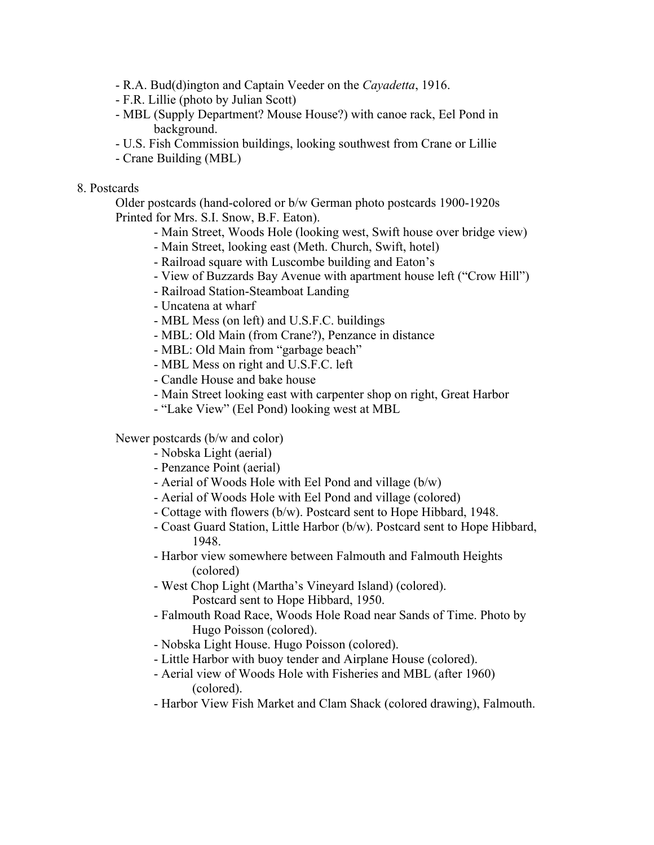- R.A. Bud(d)ington and Captain Veeder on the *Cayadetta*, 1916.
- F.R. Lillie (photo by Julian Scott)
- MBL (Supply Department? Mouse House?) with canoe rack, Eel Pond in background.
- U.S. Fish Commission buildings, looking southwest from Crane or Lillie
- Crane Building (MBL)

### 8. Postcards

Older postcards (hand-colored or b/w German photo postcards 1900-1920s Printed for Mrs. S.I. Snow, B.F. Eaton).

- Main Street, Woods Hole (looking west, Swift house over bridge view)
- Main Street, looking east (Meth. Church, Swift, hotel)
- Railroad square with Luscombe building and Eaton's
- View of Buzzards Bay Avenue with apartment house left ("Crow Hill")
- Railroad Station-Steamboat Landing
- Uncatena at wharf
- MBL Mess (on left) and U.S.F.C. buildings
- MBL: Old Main (from Crane?), Penzance in distance
- MBL: Old Main from "garbage beach"
- MBL Mess on right and U.S.F.C. left
- Candle House and bake house
- Main Street looking east with carpenter shop on right, Great Harbor
- "Lake View" (Eel Pond) looking west at MBL

Newer postcards (b/w and color)

- Nobska Light (aerial)
- Penzance Point (aerial)
- Aerial of Woods Hole with Eel Pond and village (b/w)
- Aerial of Woods Hole with Eel Pond and village (colored)
- Cottage with flowers (b/w). Postcard sent to Hope Hibbard, 1948.
- Coast Guard Station, Little Harbor (b/w). Postcard sent to Hope Hibbard, 1948.
- Harbor view somewhere between Falmouth and Falmouth Heights (colored)
- West Chop Light (Martha's Vineyard Island) (colored). Postcard sent to Hope Hibbard, 1950.
- Falmouth Road Race, Woods Hole Road near Sands of Time. Photo by Hugo Poisson (colored).
- Nobska Light House. Hugo Poisson (colored).
- Little Harbor with buoy tender and Airplane House (colored).
- Aerial view of Woods Hole with Fisheries and MBL (after 1960) (colored).
- Harbor View Fish Market and Clam Shack (colored drawing), Falmouth.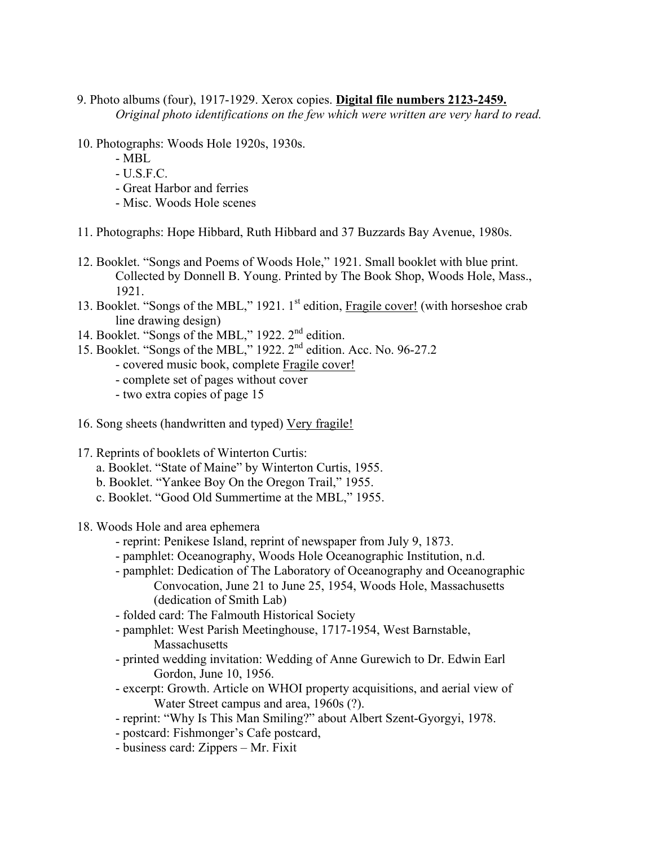- 9. Photo albums (four), 1917-1929. Xerox copies. **Digital file numbers 2123-2459.** *Original photo identifications on the few which were written are very hard to read.*
- 10. Photographs: Woods Hole 1920s, 1930s.
	- MBL
	- $-$  U.S.F.C.
	- Great Harbor and ferries
	- Misc. Woods Hole scenes
- 11. Photographs: Hope Hibbard, Ruth Hibbard and 37 Buzzards Bay Avenue, 1980s.
- 12. Booklet. "Songs and Poems of Woods Hole," 1921. Small booklet with blue print. Collected by Donnell B. Young. Printed by The Book Shop, Woods Hole, Mass., 1921.
- 13. Booklet. "Songs of the MBL," 1921. 1<sup>st</sup> edition, Fragile cover! (with horseshoe crab line drawing design)
- 14. Booklet. "Songs of the MBL," 1922. 2nd edition.
- 15. Booklet. "Songs of the MBL," 1922. 2nd edition. Acc. No. 96-27.2
	- covered music book, complete Fragile cover!
		- complete set of pages without cover
		- two extra copies of page 15
- 16. Song sheets (handwritten and typed) Very fragile!
- 17. Reprints of booklets of Winterton Curtis:
	- a. Booklet. "State of Maine" by Winterton Curtis, 1955.
	- b. Booklet. "Yankee Boy On the Oregon Trail," 1955.
	- c. Booklet. "Good Old Summertime at the MBL," 1955.
- 18. Woods Hole and area ephemera
	- reprint: Penikese Island, reprint of newspaper from July 9, 1873.
	- pamphlet: Oceanography, Woods Hole Oceanographic Institution, n.d.
	- pamphlet: Dedication of The Laboratory of Oceanography and Oceanographic Convocation, June 21 to June 25, 1954, Woods Hole, Massachusetts (dedication of Smith Lab)
	- folded card: The Falmouth Historical Society
	- pamphlet: West Parish Meetinghouse, 1717-1954, West Barnstable, Massachusetts
	- printed wedding invitation: Wedding of Anne Gurewich to Dr. Edwin Earl Gordon, June 10, 1956.
	- excerpt: Growth. Article on WHOI property acquisitions, and aerial view of Water Street campus and area, 1960s (?).
	- reprint: "Why Is This Man Smiling?" about Albert Szent-Gyorgyi, 1978.
	- postcard: Fishmonger's Cafe postcard,
	- business card: Zippers Mr. Fixit